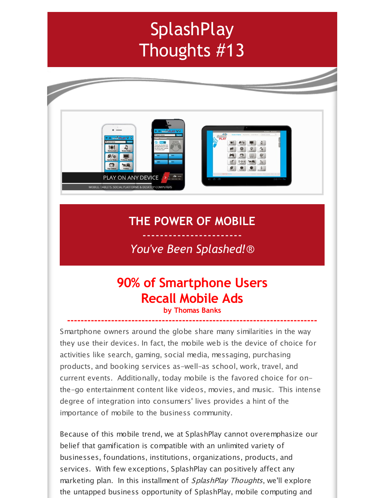# **SplashPlay** Thoughts #13



### **THE POWER OF MOBILE**

### ----------------------- *You've Been Splashed!*®

## **90% of Smartphone Users Recall Mobile Ads**

#### **by Thomas Banks --------------------------------------------------------------------------**

Smartphone owners around the globe share many similarities in the way they use their devices. In fact, the mobile web is the device of choice for activities like search, gaming, social media, messaging, purchasing products, and booking services as-well-as school, work, travel, and current events. Additionally, today mobile is the favored choice for onthe-go entertainment content like videos, movies, and music. This intense degree of integration into consumers' lives provides a hint of the importance of mobile to the business community.

Because of this mobile trend, we at SplashPlay cannot overemphasize our belief that gamification is compatible with an unlimited variety of businesses, foundations, institutions, organizations, products, and services. With few exceptions, SplashPlay can positively affect any marketing plan. In this installment of *SplashPlay Thoughts*, we'll explore the untapped business opportunity of SplashPlay, mobile computing and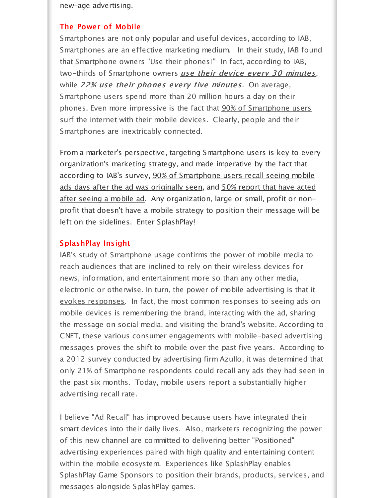new-age advertising.

#### The Power of Mobile

Smartphones are not only popular and useful devices, according to IAB, Smartphones are an effective marketing medium. In their study, IAB found that Smartphone owners "Use their phones!" In fact, according to IAB, two-thirds of Smartphone owners use their device every 30 minutes, while  $22\%$  use their phones every five minutes. On average, Smartphone users spend more than 20 million hours a day on their phones. Even more impressive is the fact that 90% of Smartphone users surf the internet with their mobile devices. Clearly, people and their Smartphones are inextricably connected.

From a marketer's perspective, targeting Smartphone users is key to every organization's marketing strategy, and made imperative by the fact that according to IAB's survey, 90% of Smartphone users recall seeing mobile ads days after the ad was originally seen, and 50% report that have acted after seeing a mobile ad. Any organization, large or small, profit or nonprofit that doesn't have a mobile strategy to position their message will be left on the sidelines. Enter SplashPlay!

#### SplashPlay Insight

IAB's study of Smartphone usage confirms the power of mobile media to reach audiences that are inclined to rely on their wireless devices for news, information, and entertainment more so than any other media, electronic or otherwise. In turn, the power of mobile advertising is that it evokes responses. In fact, the most common responses to seeing ads on mobile devices is remembering the brand, interacting with the ad, sharing the message on social media, and visiting the brand's website. According to CNET, these various consumer engagements with mobile-based advertising messages proves the shift to mobile over the past five years. According to a 2012 survey conducted by advertising firm Azullo, it was determined that only 21% of Smartphone respondents could recall any ads they had seen in the past six months. Today, mobile users report a substantially higher advertising recall rate.

I believe "Ad Recall" has improved because users have integrated their smart devices into their daily lives. Also, marketers recognizing the power of this new channel are committed to delivering better "Positioned" advertising experiences paired with high quality and entertaining content within the mobile ecosystem. Experiences like SplashPlay enables SplashPlay Game Sponsors to position their brands, products, services, and messages alongside SplashPlay games.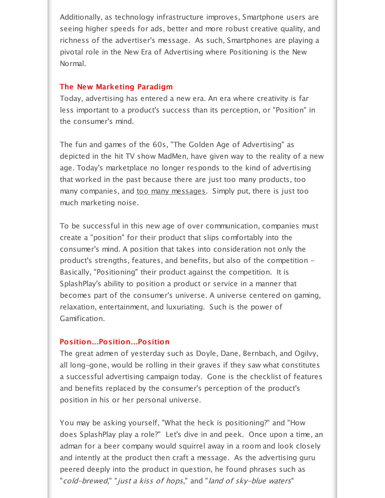Additionally, as technology infrastructure improves, Smartphone users are seeing higher speeds for ads, better and more robust creative quality, and richness of the advertiser's message. As such, Smartphones are playing a pivotal role in the New Era of Advertising where Positioning is the New Normal.

#### The New Marketing Paradigm

Today, advertising has entered a new era. An era where creativity is far less important to a product's success than its perception, or "Position" in the consumer's mind.

The fun and games of the 60s, "The Golden Age of Advertising" as depicted in the hit TV show MadMen, have given way to the reality of a new age. Today's marketplace no longer responds to the kind of advertising that worked in the past because there are just too many products, too many companies, and too many messages. Simply put, there is just too much marketing noise.

To be successful in this new age of over communication, companies must create a "position" for their product that slips comfortably into the consumer's mind. A position that takes into consideration not only the product's strengths, features, and benefits, but also of the competition - Basically, "Positioning" their product against the competition. It is SplashPlay's ability to position a product or service in a manner that becomes part of the consumer's universe. A universe centered on gaming, relaxation, entertainment, and luxuriating. Such is the power of Gamification.

#### Position...Position...Position

The great admen of yesterday such as Doyle, Dane, Bernbach, and Ogilvy, all long-gone, would be rolling in their graves if they saw what constitutes a successful advertising campaign today. Gone is the checklist of features and benefits replaced by the consumer's perception of the product's position in his or her personal universe.

You may be asking yourself, "What the heck is positioning?" and "How does SplashPlay play a role?" Let's dive in and peek. Once upon a time, an adman for a beer company would squirrel away in a room and look closely and intently at the product then craft a message. As the advertising guru peered deeply into the product in question, he found phrases such as "cold-brewed," "just <sup>a</sup> kiss of hops," and "land of sky-blue waters"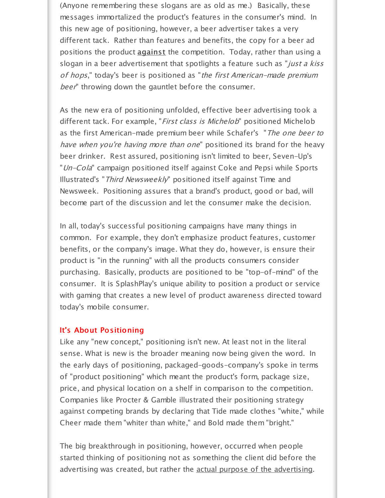(Anyone remembering these slogans are as old as me.) Basically, these messages immortalized the product's features in the consumer's mind. In this new age of positioning, however, a beer advertiser takes a very different tack. Rather than features and benefits, the copy for a beer ad positions the product **against** the competition. Today, rather than using a slogan in a beer advertisement that spotlights a feature such as "*just a kiss* of hops," today's beer is positioned as "the first American-made premium beer" throwing down the gauntlet before the consumer.

As the new era of positioning unfolded, effective beer advertising took a different tack. For example, "First class is Michelob" positioned Michelob as the first American-made premium beer while Schafer's "The one beer to have when you're having more than one" positioned its brand for the heavy beer drinker. Rest assured, positioning isn't limited to beer, Seven-Up's "Un-Cola" campaign positioned itself against Coke and Pepsi while Sports Illustrated's "Third Newsweekly" positioned itself against Time and Newsweek. Positioning assures that a brand's product, good or bad, will become part of the discussion and let the consumer make the decision.

In all, today's successful positioning campaigns have many things in common. For example, they don't emphasize product features, customer benefits, or the company's image. What they do, however, is ensure their product is "in the running" with all the products consumers consider purchasing. Basically, products are positioned to be "top-of-mind" of the consumer. It is SplashPlay's unique ability to position a product or service with gaming that creates a new level of product awareness directed toward today's mobile consumer.

#### It's About Positioning

Like any "new concept," positioning isn't new. At least not in the literal sense. What is new is the broader meaning now being given the word. In the early days of positioning, packaged-goods-company's spoke in terms of "product positioning" which meant the product's form, package size, price, and physical location on a shelf in comparison to the competition. Companies like Procter & Gamble illustrated their positioning strategy against competing brands by declaring that Tide made clothes "white," while Cheer made them "whiter than white," and Bold made them "bright."

The big breakthrough in positioning, however, occurred when people started thinking of positioning not as something the client did before the advertising was created, but rather the actual purpose of the advertising.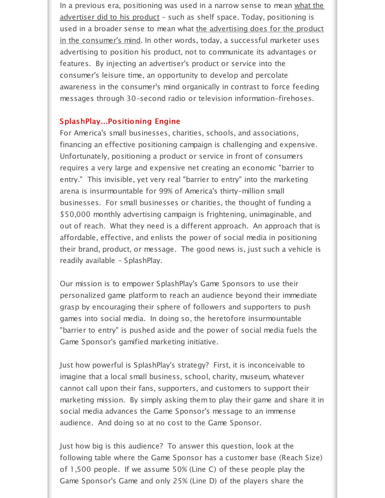In a previous era, positioning was used in a narrow sense to mean what the advertiser did to his product - such as shelf space. Today, positioning is used in a broader sense to mean what the advertising does for the product in the consumer's mind. In other words, today, a successful marketer uses advertising to position his product, not to communicate its advantages or features. By injecting an advertiser's product or service into the consumer's leisure time, an opportunity to develop and percolate awareness in the consumer's mind organically in contrast to force feeding messages through 30-second radio or television information-firehoses.

#### SplashPlay...Positioning Engine

For America's small businesses, charities, schools, and associations, financing an effective positioning campaign is challenging and expensive. Unfortunately, positioning a product or service in front of consumers requires a very large and expensive net creating an economic "barrier to entry." This invisible, yet very real "barrier to entry" into the marketing arena is insurmountable for 99% of America's thirty-million small businesses. For small businesses or charities, the thought of funding a \$50,000 monthly advertising campaign is frightening, unimaginable, and out of reach. What they need is a different approach. An approach that is affordable, effective, and enlists the power of social media in positioning their brand, product, or message. The good news is, just such a vehicle is readily available - SplashPlay.

Our mission is to empower SplashPlay's Game Sponsors to use their personalized game platform to reach an audience beyond their immediate grasp by encouraging their sphere of followers and supporters to push games into social media. In doing so, the heretofore insurmountable "barrier to entry" is pushed aside and the power of social media fuels the Game Sponsor's gamified marketing initiative.

Just how powerful is SplashPlay's strategy? First, it is inconceivable to imagine that a local small business, school, charity, museum, whatever cannot call upon their fans, supporters, and customers to support their marketing mission. By simply asking them to play their game and share it in social media advances the Game Sponsor's message to an immense audience. And doing so at no cost to the Game Sponsor.

Just how big is this audience? To answer this question, look at the following table where the Game Sponsor has a customer base (Reach Size) of 1,500 people. If we assume 50% (Line C) of these people play the Game Sponsor's Game and only 25% (Line D) of the players share the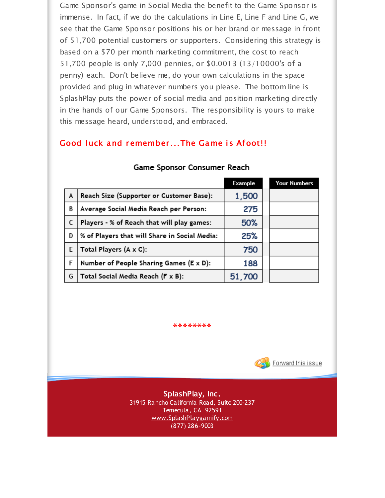Game Sponsor's game in Social Media the benefit to the Game Sponsor is immense. In fact, if we do the calculations in Line E, Line F and Line G, we see that the Game Sponsor positions his or her brand or message in front of 51,700 potential customers or supporters. Considering this strategy is based on a \$70 per month marketing commitment, the cost to reach 51,700 people is only 7,000 pennies, or \$0.0013 (13/10000's of a penny) each. Don't believe me, do your own calculations in the space provided and plug in whatever numbers you please. The bottom line is SplashPlay puts the power of social media and position marketing directly in the hands of our Game Sponsors. The responsibility is yours to make this message heard, understood, and embraced.

#### Good luck and remember...The Game is Afoot!!

|   |                                               | Example | <b>Your Numbers</b> |
|---|-----------------------------------------------|---------|---------------------|
| A | Reach Size (Supporter or Customer Base):      | 1,500   |                     |
| B | Average Social Media Reach per Person:        | 275     |                     |
| C | Players - % of Reach that will play games:    | 50%     |                     |
| D | % of Players that will Share in Social Media: | 25%     |                     |
| E | Total Players (A x C):                        | 750     |                     |
| F | Number of People Sharing Games (E x D):       | 188     |                     |
| G | Total Social Media Reach (F x B):             | 51,700  |                     |

#### Game Sponsor Consumer Reach

**\*\*\*\*\*\*\*\***



**SplashPlay, Inc.** 31915 Rancho California Road, Suite 200-237 Temecula, CA 92591 [www.SplashPlaygamify.com](http://r20.rs6.net/tn.jsp?f=001vjGqmZvlOJVgb1aMWc4bBLFyb3I0ZCLloalJIUpudxs53cGoVt0cUDPBeaAD_axKEXin-x_wvoWDV-NLvWD7wk9lXFTsRZDydbZP3JVDaOreoywGDBk0iNfdO8BEYPokXUPugcukQtb3bq0ahNpmK4PfV35dGbF6gMs653QnAIs=&c=&ch=) (877) 286-9003